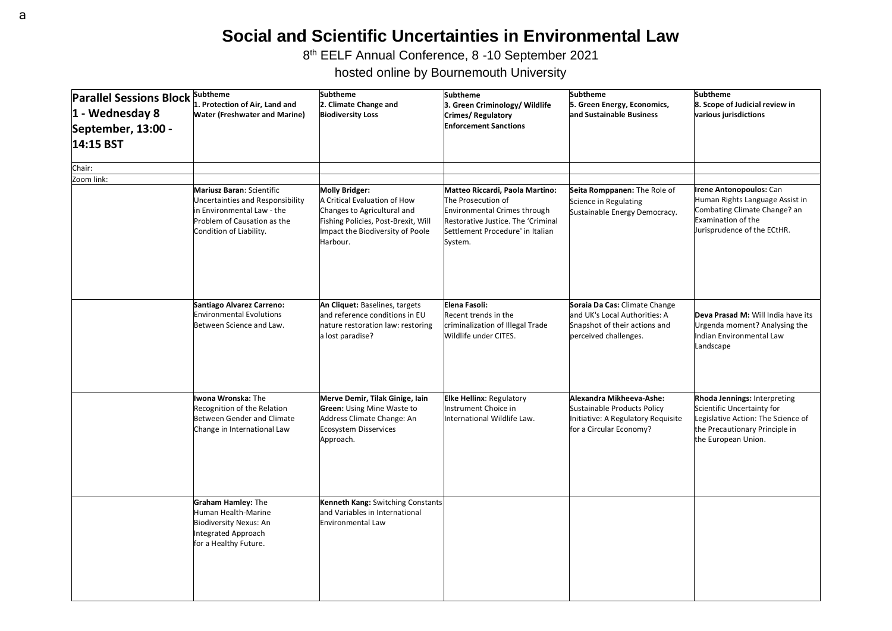## **Social and Scientific Uncertainties in Environmental Law**

8 th EELF Annual Conference, 8 -10 September 2021

hosted online by Bournemouth University

| <b>Parallel Sessions Block</b><br>1 - Wednesday 8<br>September, 13:00 -<br>14:15 BST | <b>Subtheme</b><br>1. Protection of Air, Land and<br><b>Water (Freshwater and Marine)</b>                                                             | <b>Subtheme</b><br>2. Climate Change and<br><b>Biodiversity Loss</b>                                                                                                        | <b>Subtheme</b><br>3. Green Criminology/ Wildlife<br><b>Crimes/Regulatory</b><br><b>Enforcement Sanctions</b>                                                                     | <b>Subtheme</b><br>5. Green Energy, Economics,<br>and Sustainable Business                                               | <b>Subtheme</b><br>8. Scope of Judicial review in<br>various jurisdictions                                                                                |
|--------------------------------------------------------------------------------------|-------------------------------------------------------------------------------------------------------------------------------------------------------|-----------------------------------------------------------------------------------------------------------------------------------------------------------------------------|-----------------------------------------------------------------------------------------------------------------------------------------------------------------------------------|--------------------------------------------------------------------------------------------------------------------------|-----------------------------------------------------------------------------------------------------------------------------------------------------------|
| Chair:                                                                               |                                                                                                                                                       |                                                                                                                                                                             |                                                                                                                                                                                   |                                                                                                                          |                                                                                                                                                           |
| Zoom link:                                                                           | Mariusz Baran: Scientific<br>Uncertainties and Responsibility<br>in Environmental Law - the<br>Problem of Causation as the<br>Condition of Liability. | <b>Molly Bridger:</b><br>A Critical Evaluation of How<br>Changes to Agricultural and<br>Fishing Policies, Post-Brexit, Will<br>Impact the Biodiversity of Poole<br>Harbour. | Matteo Riccardi, Paola Martino:<br>The Prosecution of<br><b>Environmental Crimes through</b><br>Restorative Justice. The 'Criminal<br>Settlement Procedure' in Italian<br>System. | Seita Romppanen: The Role of<br>Science in Regulating<br>Sustainable Energy Democracy.                                   | rene Antonopoulos: Can<br>Human Rights Language Assist in<br>Combating Climate Change? an<br>Examination of the<br>Jurisprudence of the ECtHR.            |
|                                                                                      | Santiago Alvarez Carreno:<br><b>Environmental Evolutions</b><br>Between Science and Law.                                                              | An Cliquet: Baselines, targets<br>and reference conditions in EU<br>nature restoration law: restoring<br>a lost paradise?                                                   | Elena Fasoli:<br>Recent trends in the<br>criminalization of Illegal Trade<br>Wildlife under CITES.                                                                                | Soraia Da Cas: Climate Change<br>and UK's Local Authorities: A<br>Snapshot of their actions and<br>perceived challenges. | Deva Prasad M: Will India have its<br>Urgenda moment? Analysing the<br>Indian Environmental Law<br>Landscape                                              |
|                                                                                      | Iwona Wronska: The<br>Recognition of the Relation<br><b>Between Gender and Climate</b><br>Change in International Law                                 | Merve Demir, Tilak Ginige, Iain<br><b>Green: Using Mine Waste to</b><br>Address Climate Change: An<br>Ecosystem Disservices<br>Approach.                                    | <b>Elke Hellinx: Regulatory</b><br>Instrument Choice in<br>International Wildlife Law.                                                                                            | Alexandra Mikheeva-Ashe:<br>Sustainable Products Policy<br>Initiative: A Regulatory Requisite<br>for a Circular Economy? | Rhoda Jennings: Interpreting<br>Scientific Uncertainty for<br>Legislative Action: The Science of<br>the Precautionary Principle in<br>the European Union. |
|                                                                                      | <b>Graham Hamley: The</b><br>Human Health-Marine<br><b>Biodiversity Nexus: An</b><br>Integrated Approach<br>for a Healthy Future.                     | Kenneth Kang: Switching Constants<br>and Variables in International<br>Environmental Law                                                                                    |                                                                                                                                                                                   |                                                                                                                          |                                                                                                                                                           |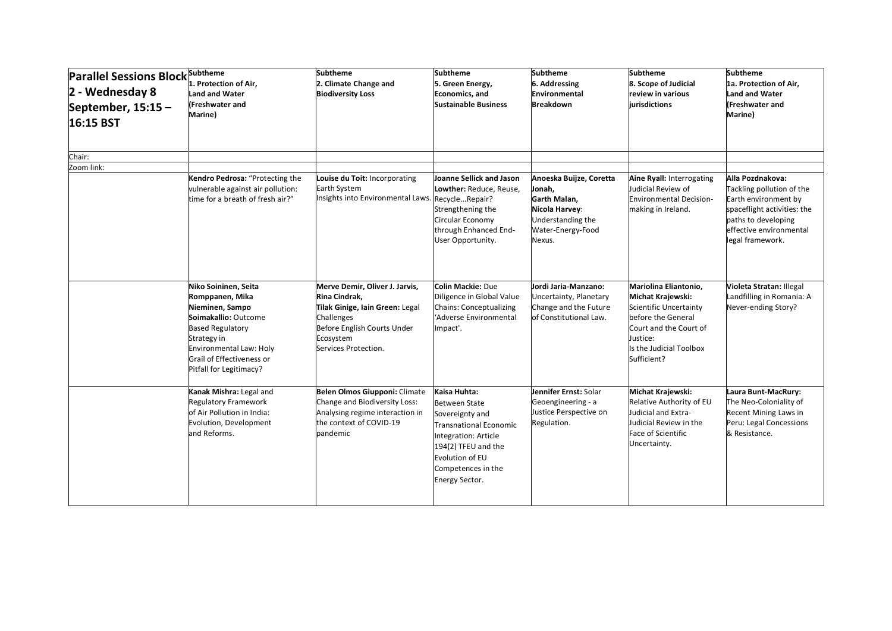| <b>Parallel Sessions Block Subtheme</b><br>2 - Wednesday 8<br>September, $15:15-$<br>16:15 BST | 1. Protection of Air,<br>Land and Water<br><b>(Freshwater and</b><br>Marine)                                                                                                                                           | <b>Subtheme</b><br>2. Climate Change and<br><b>Biodiversity Loss</b>                                                                                                 | Subtheme<br>5. Green Energy,<br><b>Economics</b> , and<br><b>Sustainable Business</b>                                                                                                             | <b>Subtheme</b><br>6. Addressing<br>Environmental<br><b>Breakdown</b>                                                   | <b>Subtheme</b><br>8. Scope of Judicial<br>review in various<br><b>iurisdictions</b>                                                                                       | <b>Subtheme</b><br>1a. Protection of Air,<br><b>Land and Water</b><br>(Freshwater and<br>Marine)                                                                           |
|------------------------------------------------------------------------------------------------|------------------------------------------------------------------------------------------------------------------------------------------------------------------------------------------------------------------------|----------------------------------------------------------------------------------------------------------------------------------------------------------------------|---------------------------------------------------------------------------------------------------------------------------------------------------------------------------------------------------|-------------------------------------------------------------------------------------------------------------------------|----------------------------------------------------------------------------------------------------------------------------------------------------------------------------|----------------------------------------------------------------------------------------------------------------------------------------------------------------------------|
| Chair:                                                                                         |                                                                                                                                                                                                                        |                                                                                                                                                                      |                                                                                                                                                                                                   |                                                                                                                         |                                                                                                                                                                            |                                                                                                                                                                            |
| Zoom link:                                                                                     | Kendro Pedrosa: "Protecting the<br>vulnerable against air pollution:<br>time for a breath of fresh air?"                                                                                                               | Louise du Toit: Incorporating<br>Earth System<br>Insights into Environmental Laws. RecycleRepair?                                                                    | Joanne Sellick and Jason<br>Lowther: Reduce, Reuse,<br>Strengthening the<br>Circular Economy<br>through Enhanced End-<br>User Opportunity.                                                        | Anoeska Buijze, Coretta<br>Jonah,<br>Garth Malan,<br>Nicola Harvey:<br>Understanding the<br>Water-Energy-Food<br>Nexus. | Aine Ryall: Interrogating<br>Judicial Review of<br>Environmental Decision-<br>making in Ireland.                                                                           | Alla Pozdnakova:<br>Tackling pollution of the<br>Earth environment by<br>spaceflight activities: the<br>paths to developing<br>effective environmental<br>legal framework. |
|                                                                                                | Niko Soininen, Seita<br>Romppanen, Mika<br>Nieminen, Sampo<br>Soimakallio: Outcome<br><b>Based Regulatory</b><br>Strategy in<br><b>Environmental Law: Holy</b><br>Grail of Effectiveness or<br>Pitfall for Legitimacy? | Merve Demir, Oliver J. Jarvis,<br>Rina Cindrak,<br>Tilak Ginige, Iain Green: Legal<br>Challenges<br>Before English Courts Under<br>Ecosystem<br>Services Protection. | <b>Colin Mackie: Due</b><br>Diligence in Global Value<br><b>Chains: Conceptualizing</b><br>'Adverse Environmental<br>Impact'.                                                                     | Jordi Jaria-Manzano:<br>Uncertainty, Planetary<br>Change and the Future<br>of Constitutional Law.                       | Mariolina Eliantonio,<br>Michat Krajewski:<br>Scientific Uncertainty<br>before the General<br>Court and the Court of<br>Justice:<br>Is the Judicial Toolbox<br>Sufficient? | Violeta Stratan: Illegal<br>Landfilling in Romania: A<br>Never-ending Story?                                                                                               |
|                                                                                                | Kanak Mishra: Legal and<br><b>Regulatory Framework</b><br>of Air Pollution in India:<br>Evolution, Development<br>and Reforms.                                                                                         | Belen Olmos Giupponi: Climate<br>Change and Biodiversity Loss:<br>Analysing regime interaction in<br>the context of COVID-19<br>pandemic                             | Kaisa Huhta:<br><b>Between State</b><br>Sovereignty and<br><b>Transnational Economic</b><br>ntegration: Article<br>194(2) TFEU and the<br>Evolution of EU<br>Competences in the<br>Energy Sector. | Jennifer Ernst: Solar<br>Geoengineering - a<br>Justice Perspective on<br>Regulation.                                    | Michat Krajewski:<br>Relative Authority of EU<br>Judicial and Extra-<br>Judicial Review in the<br><b>Face of Scientific</b><br>Uncertainty.                                | Laura Bunt-MacRury:<br>The Neo-Coloniality of<br>Recent Mining Laws in<br>Peru: Legal Concessions<br>& Resistance.                                                         |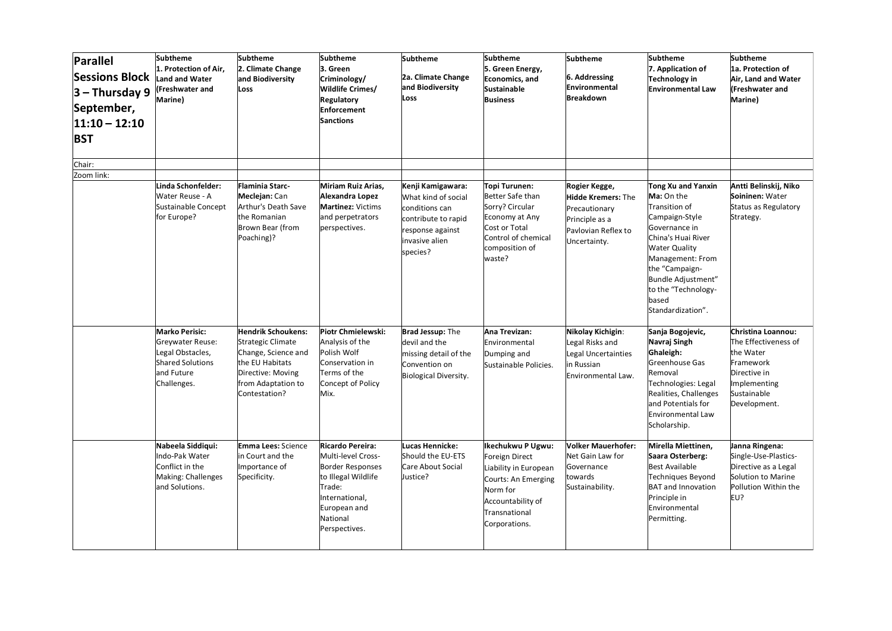| <b>Parallel</b><br><b>Sessions Block</b><br>$3 - Thursday 9$<br>September,<br>$11:10 - 12:10$<br><b>BST</b> | <b>Subtheme</b><br>1. Protection of Air,<br><b>Land and Water</b><br>(Freshwater and<br>Marine)                       | <b>Subtheme</b><br>2. Climate Change<br>and Biodiversity<br>Loss                                                                                            | <b>Subtheme</b><br>3. Green<br>Criminology/<br>Wildlife Crimes/<br><b>Regulatory</b><br><b>Enforcement</b><br><b>Sanctions</b>                                    | <b>Subtheme</b><br>2a. Climate Change<br>and Biodiversity<br>Loss                                                                   | <b>Subtheme</b><br>5. Green Energy,<br>Economics, and<br>Sustainable<br><b>Business</b>                                                                | <b>Subtheme</b><br>6. Addressing<br>Environmental<br>Breakdown                                                       | <b>Subtheme</b><br>7. Application of<br>Technology in<br><b>Environmental Law</b>                                                                                                                                                                   | <b>Subtheme</b><br>1a. Protection of<br>Air, Land and Water<br>(Freshwater and<br>Marine)                                           |
|-------------------------------------------------------------------------------------------------------------|-----------------------------------------------------------------------------------------------------------------------|-------------------------------------------------------------------------------------------------------------------------------------------------------------|-------------------------------------------------------------------------------------------------------------------------------------------------------------------|-------------------------------------------------------------------------------------------------------------------------------------|--------------------------------------------------------------------------------------------------------------------------------------------------------|----------------------------------------------------------------------------------------------------------------------|-----------------------------------------------------------------------------------------------------------------------------------------------------------------------------------------------------------------------------------------------------|-------------------------------------------------------------------------------------------------------------------------------------|
| Chair:                                                                                                      |                                                                                                                       |                                                                                                                                                             |                                                                                                                                                                   |                                                                                                                                     |                                                                                                                                                        |                                                                                                                      |                                                                                                                                                                                                                                                     |                                                                                                                                     |
| Zoom link:                                                                                                  |                                                                                                                       |                                                                                                                                                             |                                                                                                                                                                   |                                                                                                                                     |                                                                                                                                                        |                                                                                                                      |                                                                                                                                                                                                                                                     |                                                                                                                                     |
|                                                                                                             | Linda Schonfelder:<br>Water Reuse - A<br>Sustainable Concept<br>for Europe?                                           | <b>Flaminia Starc-</b><br>Meclejan: Can<br>Arthur's Death Save<br>the Romanian<br>Brown Bear (from<br>Poaching)?                                            | Miriam Ruiz Arias,<br>Alexandra Lopez<br><b>Martinez: Victims</b><br>and perpetrators<br>perspectives.                                                            | Kenji Kamigawara:<br>What kind of social<br>conditions can<br>contribute to rapid<br>response against<br>invasive alien<br>species? | Topi Turunen:<br>Better Safe than<br>Sorry? Circular<br>Economy at Any<br>Cost or Total<br>Control of chemical<br>composition of<br>waste?             | Rogier Kegge,<br><b>Hidde Kremers: The</b><br>Precautionary<br>Principle as a<br>Pavlovian Reflex to<br>Uncertainty. | Tong Xu and Yanxin<br>Ma: On the<br>Transition of<br>Campaign-Style<br>Governance in<br>China's Huai River<br><b>Water Quality</b><br>Management: From<br>the "Campaign-<br>Bundle Adjustment"<br>to the "Technology-<br>based<br>Standardization". | Antti Belinskij, Niko<br>Soininen: Water<br>Status as Regulatory<br>Strategy.                                                       |
|                                                                                                             | <b>Marko Perisic:</b><br>Greywater Reuse:<br>Legal Obstacles,<br><b>Shared Solutions</b><br>and Future<br>Challenges. | <b>Hendrik Schoukens:</b><br><b>Strategic Climate</b><br>Change, Science and<br>the EU Habitats<br>Directive: Moving<br>from Adaptation to<br>Contestation? | Piotr Chmielewski:<br>Analysis of the<br>Polish Wolf<br>Conservation in<br>Terms of the<br>Concept of Policy<br>Mix.                                              | <b>Brad Jessup: The</b><br>devil and the<br>missing detail of the<br>Convention on<br><b>Biological Diversity.</b>                  | Ana Trevizan:<br>Environmental<br>Dumping and<br>Sustainable Policies.                                                                                 | Nikolay Kichigin:<br>Legal Risks and<br>Legal Uncertainties<br>in Russian<br>Environmental Law.                      | Sanja Bogojevic,<br>Navraj Singh<br>Ghaleigh:<br>Greenhouse Gas<br>Removal<br>Technologies: Legal<br>Realities, Challenges<br>and Potentials for<br><b>Environmental Law</b><br>Scholarship.                                                        | Christina Loannou:<br>The Effectiveness of<br>the Water<br>Framework<br>Directive in<br>Implementing<br>Sustainable<br>Development. |
|                                                                                                             | Nabeela Siddiqui:<br>Indo-Pak Water<br>Conflict in the<br>Making: Challenges<br>and Solutions.                        | <b>Emma Lees:</b> Science<br>in Court and the<br>Importance of<br>Specificity.                                                                              | Ricardo Pereira:<br>Multi-level Cross-<br><b>Border Responses</b><br>to Illegal Wildlife<br>Trade:<br>International,<br>European and<br>National<br>Perspectives. | Lucas Hennicke:<br>Should the EU-ETS<br>Care About Social<br>Justice?                                                               | Ikechukwu P Ugwu:<br>Foreign Direct<br>Liability in European<br>Courts: An Emerging<br>Norm for<br>Accountability of<br>Transnational<br>Corporations. | <b>Volker Mauerhofer:</b><br>Net Gain Law for<br>Governance<br>towards<br>Sustainability.                            | Mirella Miettinen,<br>Saara Osterberg:<br><b>Best Available</b><br>Techniques Beyond<br><b>BAT and Innovation</b><br>Principle in<br>Environmental<br>Permitting.                                                                                   | Janna Ringena:<br>Single-Use-Plastics-<br>Directive as a Legal<br>Solution to Marine<br>Pollution Within the<br>EU?                 |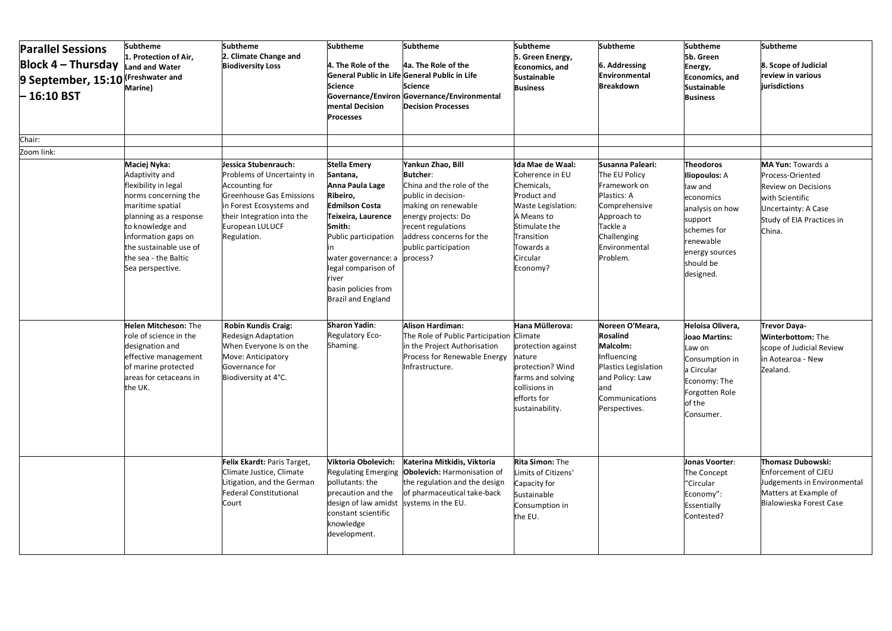| <b>Parallel Sessions</b><br><b>Block 4 - Thursday</b><br>9 September, 15:10 (Freshwater and<br>$-16:10BST$ | <b>Subtheme</b><br>1. Protection of Air,<br>Land and Water<br>Marine)                                                                                                                                                                         | <b>Subtheme</b><br>2. Climate Change and<br><b>Biodiversity Loss</b>                                                                                                                         | <b>Subtheme</b><br>4. The Role of the<br><b>Science</b><br>mental Decision<br><b>Processes</b>                                                                                                                                                             | <b>Subtheme</b><br>4a. The Role of the<br>General Public in Life General Public in Life<br><b>Science</b><br>Governance/Environ Governance/Environmental<br><b>Decision Processes</b>                                        | <b>Subtheme</b><br>5. Green Energy,<br><b>Economics</b> , and<br><b>Sustainable</b><br><b>Business</b>                                                                   | <b>Subtheme</b><br>6. Addressing<br>Environmental<br><b>Breakdown</b>                                                                                    | <b>Subtheme</b><br>5b. Green<br>Energy,<br><b>Economics</b> , and<br><b>Sustainable</b><br><b>Business</b>                                                             | <b>Subtheme</b><br>8. Scope of Judicial<br>review in various<br>jurisdictions                                                                               |
|------------------------------------------------------------------------------------------------------------|-----------------------------------------------------------------------------------------------------------------------------------------------------------------------------------------------------------------------------------------------|----------------------------------------------------------------------------------------------------------------------------------------------------------------------------------------------|------------------------------------------------------------------------------------------------------------------------------------------------------------------------------------------------------------------------------------------------------------|------------------------------------------------------------------------------------------------------------------------------------------------------------------------------------------------------------------------------|--------------------------------------------------------------------------------------------------------------------------------------------------------------------------|----------------------------------------------------------------------------------------------------------------------------------------------------------|------------------------------------------------------------------------------------------------------------------------------------------------------------------------|-------------------------------------------------------------------------------------------------------------------------------------------------------------|
| Chair:                                                                                                     |                                                                                                                                                                                                                                               |                                                                                                                                                                                              |                                                                                                                                                                                                                                                            |                                                                                                                                                                                                                              |                                                                                                                                                                          |                                                                                                                                                          |                                                                                                                                                                        |                                                                                                                                                             |
| Zoom link:                                                                                                 |                                                                                                                                                                                                                                               |                                                                                                                                                                                              |                                                                                                                                                                                                                                                            |                                                                                                                                                                                                                              |                                                                                                                                                                          |                                                                                                                                                          |                                                                                                                                                                        |                                                                                                                                                             |
|                                                                                                            | Maciej Nyka:<br>Adaptivity and<br>flexibility in legal<br>norms concerning the<br>maritime spatial<br>planning as a response<br>to knowledge and<br>information gaps on<br>the sustainable use of<br>the sea - the Baltic<br>Sea perspective. | Jessica Stubenrauch:<br>Problems of Uncertainty in<br>Accounting for<br>Greenhouse Gas Emissions<br>in Forest Ecosystems and<br>their Integration into the<br>European LULUCF<br>Regulation. | <b>Stella Emery</b><br>Santana,<br>Anna Paula Lage<br>Ribeiro,<br><b>Edmilson Costa</b><br>Teixeira, Laurence<br>Smith:<br>Public participation<br>water governance: a<br>legal comparison of<br>river<br>basin policies from<br><b>Brazil and England</b> | Yankun Zhao, Bill<br><b>Butcher:</b><br>China and the role of the<br>public in decision-<br>making on renewable<br>energy projects: Do<br>recent regulations<br>address concerns for the<br>public participation<br>process? | Ida Mae de Waal:<br>Coherence in EU<br>Chemicals,<br>Product and<br>Waste Legislation:<br>A Means to<br>Stimulate the<br>Transition<br>Towards a<br>Circular<br>Economy? | Susanna Paleari:<br>The EU Policy<br>Framework on<br>Plastics: A<br>Comprehensive<br>Approach to<br>Tackle a<br>Challenging<br>Environmental<br>Problem. | <b>Theodoros</b><br><b>Iliopoulos: A</b><br>law and<br>economics<br>analysis on how<br>support<br>schemes for<br>renewable<br>energy sources<br>should be<br>designed. | MA Yun: Towards a<br>Process-Oriented<br><b>Review on Decisions</b><br>with Scientific<br><b>Uncertainty: A Case</b><br>Study of EIA Practices in<br>China. |
|                                                                                                            | <b>Helen Mitcheson: The</b><br>role of science in the<br>designation and<br>effective management<br>of marine protected<br>areas for cetaceans in<br>the UK.                                                                                  | <b>Robin Kundis Craig:</b><br><b>Redesign Adaptation</b><br>When Everyone Is on the<br>Move: Anticipatory<br>Governance for<br>Biodiversity at 4°C.                                          | <b>Sharon Yadin:</b><br>Regulatory Eco-<br>Shaming.                                                                                                                                                                                                        | <b>Alison Hardiman:</b><br>The Role of Public Participation Climate<br>in the Project Authorisation<br>Process for Renewable Energy<br>Infrastructure.                                                                       | Hana Müllerova:<br>protection against<br>nature<br>protection? Wind<br>farms and solving<br>collisions in<br>efforts for<br>sustainability.                              | Noreen O'Meara,<br><b>Rosalind</b><br>Malcolm:<br>Influencing<br>Plastics Legislation<br>and Policy: Law<br>and<br>Communications<br>Perspectives.       | Heloisa Olivera,<br>Joao Martins:<br>Law on<br>Consumption in<br>a Circular<br>Economy: The<br>Forgotten Role<br>of the<br>Consumer.                                   | <b>Trevor Daya-</b><br>Winterbottom: The<br>scope of Judicial Review<br>in Aotearoa - New<br>Zealand.                                                       |
|                                                                                                            |                                                                                                                                                                                                                                               | Felix Ekardt: Paris Target,<br>Climate Justice, Climate<br>Litigation, and the German<br>Federal Constitutional<br>Court                                                                     | Viktoria Obolevich:<br><b>Regulating Emerging</b><br>pollutants: the<br>precaution and the<br>design of law amidst<br>constant scientific<br>knowledge<br>development.                                                                                     | Katerina Mitkidis, Viktoria<br>Obolevich: Harmonisation of<br>the regulation and the design<br>of pharmaceutical take-back<br>systems in the EU.                                                                             | <b>Rita Simon: The</b><br>imits of Citizens'<br>Capacity for<br>Sustainable<br>Consumption in<br>the EU.                                                                 |                                                                                                                                                          | Jonas Voorter:<br>The Concept<br>"Circular<br>Economy":<br>Essentially<br>Contested?                                                                                   | <b>Thomasz Dubowski:</b><br><b>Enforcement of CJEU</b><br>Judgements in Environmental<br>Matters at Example of<br>Bialowieska Forest Case                   |